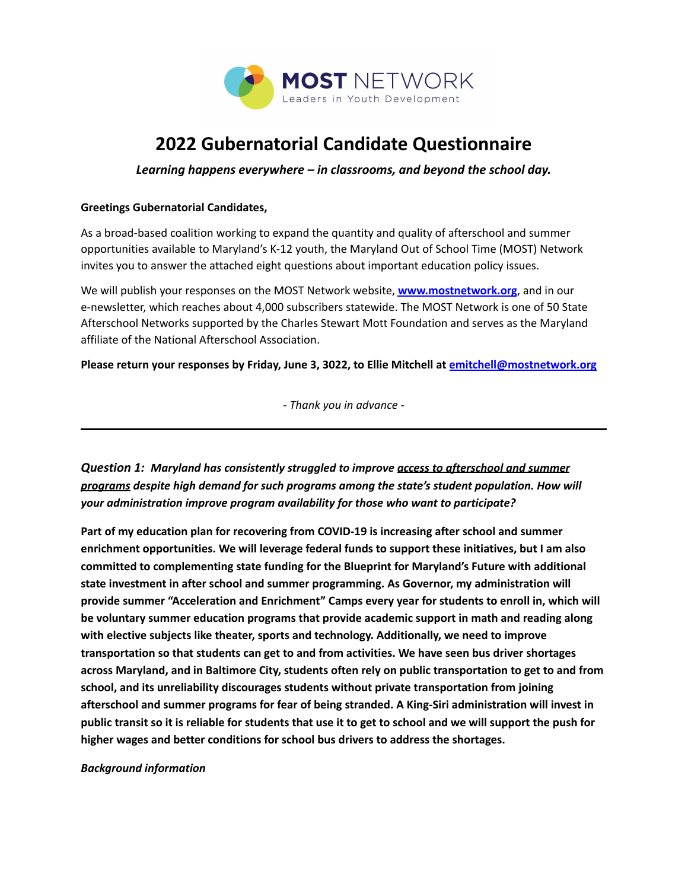

# **2022 Gubernatorial Candidate Questionnaire**

*Learning happens everywhere – in classrooms, and beyond the school day.*

#### **Greetings Gubernatorial Candidates,**

As a broad-based coalition working to expand the quantity and quality of afterschool and summer opportunities available to Maryland's K-12 youth, the Maryland Out of School Time (MOST) Network invites you to answer the attached eight questions about important education policy issues.

We will publish your responses on the MOST Network website, **[www.mostnetwork.org](http://www.mostnetwork.org)**, and in our e-newsletter, which reaches about 4,000 subscribers statewide. The MOST Network is one of 50 State Afterschool Networks supported by the Charles Stewart Mott Foundation and serves as the Maryland affiliate of the National Afterschool Association.

**Please return your responses by Friday, June 3, 3022, to Ellie Mitchell at [emitchell@mostnetwork.org](mailto:emitchell@mostnetwork.org)**

*- Thank you in advance -*

*Question 1: Maryland has consistently struggled to improve access to afterschool and summer programs despite high demand for such programs among the state's student population. How will your administration improve program availability for those who want to participate?*

**Part of my education plan for recovering from COVID-19 is increasing after school and summer enrichment opportunities. We will leverage federal funds to support these initiatives, but I am also committed to complementing state funding for the Blueprint for Maryland's Future with additional state investment in after school and summer programming. As Governor, my administration will provide summer "Acceleration and Enrichment" Camps every year for students to enroll in, which will be voluntary summer education programs that provide academic support in math and reading along with elective subjects like theater, sports and technology. Additionally, we need to improve transportation so that students can get to and from activities. We have seen bus driver shortages across Maryland, and in Baltimore City, students often rely on public transportation to get to and from school, and its unreliability discourages students without private transportation from joining afterschool and summer programs for fear of being stranded. A King-Siri administration will invest in** public transit so it is reliable for students that use it to get to school and we will support the push for **higher wages and better conditions for school bus drivers to address the shortages.**

#### *Background information*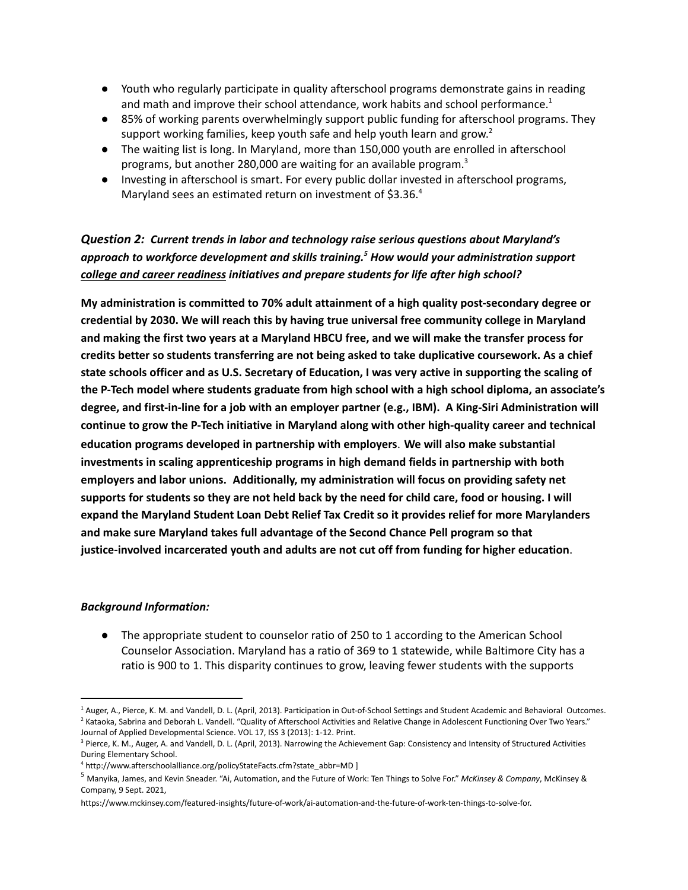- Youth who regularly participate in quality afterschool programs demonstrate gains in reading and math and improve their school attendance, work habits and school performance.<sup>1</sup>
- 85% of working parents overwhelmingly support public funding for afterschool programs. They support working families, keep youth safe and help youth learn and grow.<sup>2</sup>
- The waiting list is long. In Maryland, more than 150,000 youth are enrolled in afterschool programs, but another 280,000 are waiting for an available program.<sup>3</sup>
- Investing in afterschool is smart. For every public dollar invested in afterschool programs, Maryland sees an estimated return on investment of \$3.36.4

## *Question 2: Current trends in labor and technology raise serious questions about Maryland's approach to workforce development and skills training. <sup>5</sup> How would your administration support college and career readiness initiatives and prepare students for life after high school?*

**My administration is committed to 70% adult attainment of a high quality post-secondary degree or credential by 2030. We will reach this by having true universal free community college in Maryland** and making the first two years at a Maryland HBCU free, and we will make the transfer process for **credits better so students transferring are not being asked to take duplicative coursework. As a chief** state schools officer and as U.S. Secretary of Education, I was very active in supporting the scaling of **the P-Tech model where students graduate from high school with a high school diploma, an associate's degree, and first-in-line for a job with an employer partner (e.g., IBM). A King-Siri Administration will continue to grow the P-Tech initiative in Maryland along with other high-quality career and technical education programs developed in partnership with employers**. **We will also make substantial investments in scaling apprenticeship programs in high demand fields in partnership with both employers and labor unions. Additionally, my administration will focus on providing safety net** supports for students so they are not held back by the need for child care, food or housing. I will **expand the Maryland Student Loan Debt Relief Tax Credit so it provides relief for more Marylanders and make sure Maryland takes full advantage of the Second Chance Pell program so that justice-involved incarcerated youth and adults are not cut off from funding for higher education**.

#### *Background Information:*

• The appropriate student to counselor ratio of 250 to 1 according to the American School Counselor Association. Maryland has a ratio of 369 to 1 statewide, while Baltimore City has a ratio is 900 to 1. This disparity continues to grow, leaving fewer students with the supports

<sup>&</sup>lt;sup>2</sup> Kataoka, Sabrina and Deborah L. Vandell. "Quality of Afterschool Activities and Relative Change in Adolescent Functioning Over Two Years." Journal of Applied Developmental Science. VOL 17, ISS 3 (2013): 1-12. Print. <sup>1</sup> Auger, A., Pierce, K. M. and Vandell, D. L. (April, 2013). Participation in Out-of-School Settings and Student Academic and Behavioral Outcomes.

<sup>&</sup>lt;sup>3</sup> Pierce, K. M., Auger, A. and Vandell, D. L. (April, 2013). Narrowing the Achievement Gap: Consistency and Intensity of Structured Activities During Elementary School.

<sup>4</sup> http://www.afterschoolalliance.org/policyStateFacts.cfm?state\_abbr=MD ]

<sup>5</sup> Manyika, James, and Kevin Sneader. "Ai, Automation, and the Future of Work: Ten Things to Solve For." *McKinsey & Company*, McKinsey & Company, 9 Sept. 2021,

https://www.mckinsey.com/featured-insights/future-of-work/ai-automation-and-the-future-of-work-ten-things-to-solve-for.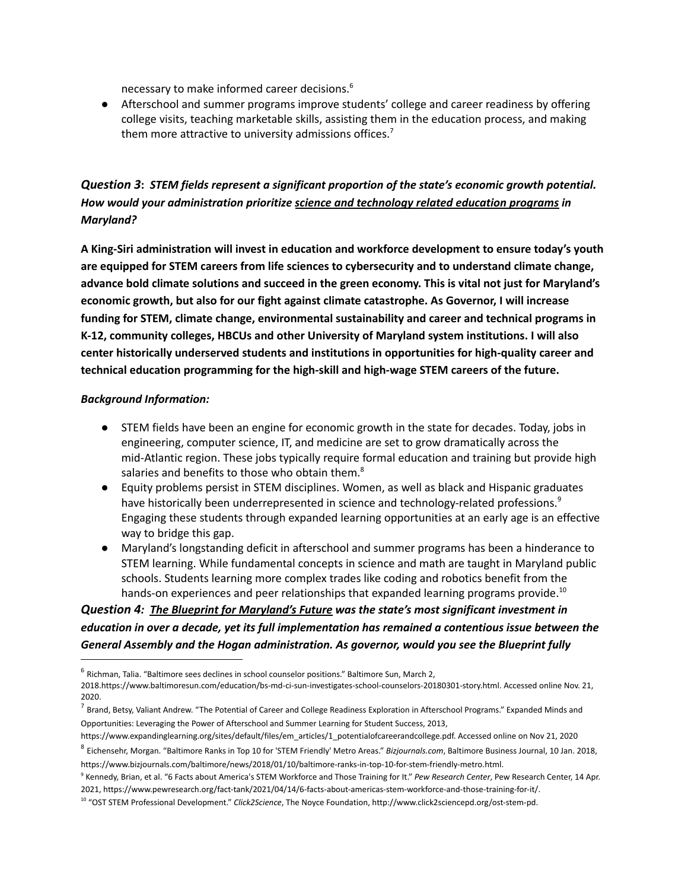necessary to make informed career decisions. 6

● Afterschool and summer programs improve students' college and career readiness by offering college visits, teaching marketable skills, assisting them in the education process, and making them more attractive to university admissions offices.<sup>7</sup>

# *Question 3***:** *STEM fields represent a significant proportion of the state's economic growth potential. How would your administration prioritize science and technology related education programs in Maryland?*

**A King-Siri administration will invest in education and workforce development to ensure today's youth are equipped for STEM careers from life sciences to cybersecurity and to understand climate change, advance bold climate solutions and succeed in the green economy. This is vital not just for Maryland's economic growth, but also for our fight against climate catastrophe. As Governor, I will increase funding for STEM, climate change, environmental sustainability and career and technical programs in K-12, community colleges, HBCUs and other University of Maryland system institutions. I will also center historically underserved students and institutions in opportunities for high-quality career and technical education programming for the high-skill and high-wage STEM careers of the future.**

#### *Background Information:*

- STEM fields have been an engine for economic growth in the state for decades. Today, jobs in engineering, computer science, IT, and medicine are set to grow dramatically across the mid-Atlantic region. These jobs typically require formal education and training but provide high salaries and benefits to those who obtain them.<sup>8</sup>
- Equity problems persist in STEM disciplines. Women, as well as black and Hispanic graduates have historically been underrepresented in science and technology-related professions.<sup>9</sup> Engaging these students through expanded learning opportunities at an early age is an effective way to bridge this gap.
- Maryland's longstanding deficit in afterschool and summer programs has been a hinderance to STEM learning. While fundamental concepts in science and math are taught in Maryland public schools. Students learning more complex trades like coding and robotics benefit from the hands-on experiences and peer relationships that expanded learning programs provide.<sup>10</sup>

# *Question 4: The Blueprint for Maryland's Future was the state's most significant investment in education in over a decade, yet its full implementation has remained a contentious issue between the General Assembly and the Hogan administration. As governor, would you see the Blueprint fully*

<sup>6</sup> Richman, Talia. "Baltimore sees declines in school counselor positions." Baltimore Sun, March 2,

<sup>2018.</sup>https://www.baltimoresun.com/education/bs-md-ci-sun-investigates-school-counselors-20180301-story.html. Accessed online Nov. 21, 2020.

 $^7$  Brand, Betsy, Valiant Andrew. "The Potential of Career and College Readiness Exploration in Afterschool Programs." Expanded Minds and Opportunities: Leveraging the Power of Afterschool and Summer Learning for Student Success, 2013,

https://www.expandinglearning.org/sites/default/files/em\_articles/1\_potentialofcareerandcollege.pdf. Accessed online on Nov 21, 2020

<sup>8</sup> Eichensehr, Morgan. "Baltimore Ranks in Top 10 for 'STEM Friendly' Metro Areas." *Bizjournals.com*, Baltimore Business Journal, 10 Jan. 2018, https://www.bizjournals.com/baltimore/news/2018/01/10/baltimore-ranks-in-top-10-for-stem-friendly-metro.html.

<sup>9</sup> Kennedy, Brian, et al. "6 Facts about America's STEM Workforce and Those Training for It." *Pew Research Center*, Pew Research Center, 14 Apr. 2021, https://www.pewresearch.org/fact-tank/2021/04/14/6-facts-about-americas-stem-workforce-and-those-training-for-it/.

<sup>10</sup> "OST STEM Professional Development." *Click2Science*, The Noyce Foundation, http://www.click2sciencepd.org/ost-stem-pd.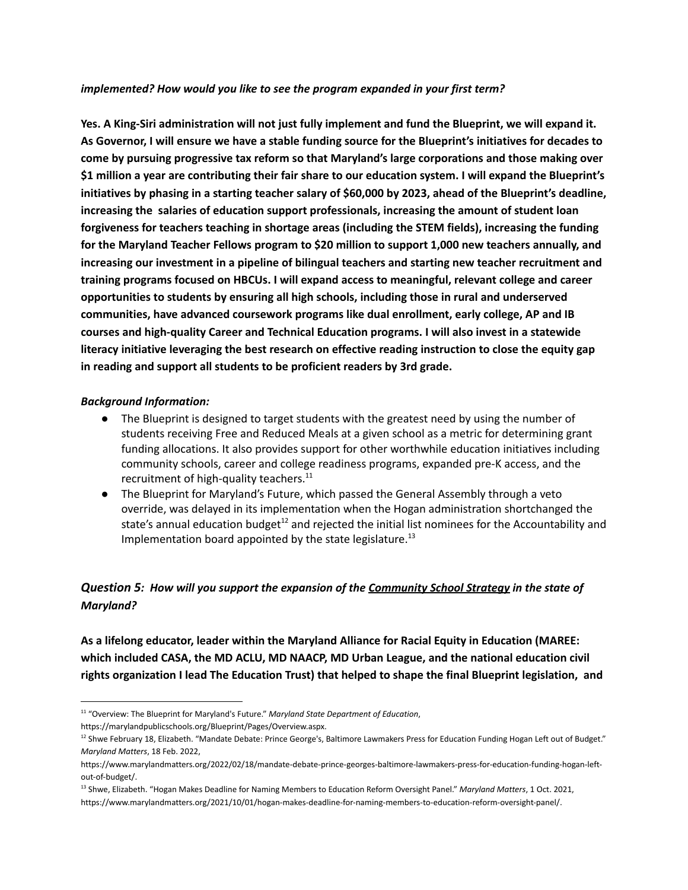#### *implemented? How would you like to see the program expanded in your first term?*

**Yes. A King-Siri administration will not just fully implement and fund the Blueprint, we will expand it.** As Governor, I will ensure we have a stable funding source for the Blueprint's initiatives for decades to **come by pursuing progressive tax reform so that Maryland's large corporations and those making over** \$1 million a year are contributing their fair share to our education system. I will expand the Blueprint's initiatives by phasing in a starting teacher salary of \$60,000 by 2023, ahead of the Blueprint's deadline, **increasing the salaries of education support professionals, increasing the amount of student loan forgiveness for teachers teaching in shortage areas (including the STEM fields), increasing the funding for the Maryland Teacher Fellows program to \$20 million to support 1,000 new teachers annually, and increasing our investment in a pipeline of bilingual teachers and starting new teacher recruitment and training programs focused on HBCUs. I will expand access to meaningful, relevant college and career opportunities to students by ensuring all high schools, including those in rural and underserved communities, have advanced coursework programs like dual enrollment, early college, AP and IB courses and high-quality Career and Technical Education programs. I will also invest in a statewide literacy initiative leveraging the best research on effective reading instruction to close the equity gap in reading and support all students to be proficient readers by 3rd grade.**

#### *Background Information:*

- The Blueprint is designed to target students with the greatest need by using the number of students receiving Free and Reduced Meals at a given school as a metric for determining grant funding allocations. It also provides support for other worthwhile education initiatives including community schools, career and college readiness programs, expanded pre-K access, and the recruitment of high-quality teachers.<sup>11</sup>
- The Blueprint for Maryland's Future, which passed the General Assembly through a veto override, was delayed in its implementation when the Hogan administration shortchanged the state's annual education budget<sup>12</sup> and rejected the initial list nominees for the Accountability and Implementation board appointed by the state legislature. 13

## *Question 5: How will you support the expansion of the Community School Strategy in the state of Maryland?*

**As a lifelong educator, leader within the Maryland Alliance for Racial Equity in Education (MAREE: which included CASA, the MD ACLU, MD NAACP, MD Urban League, and the national education civil rights organization I lead The Education Trust) that helped to shape the final Blueprint legislation, and**

https://marylandpublicschools.org/Blueprint/Pages/Overview.aspx.

<sup>11</sup> "Overview: The Blueprint for Maryland's Future." *Maryland State Department of Education*,

<sup>&</sup>lt;sup>12</sup> Shwe February 18, Elizabeth. "Mandate Debate: Prince George's, Baltimore Lawmakers Press for Education Funding Hogan Left out of Budget." *Maryland Matters*, 18 Feb. 2022,

https://www.marylandmatters.org/2022/02/18/mandate-debate-prince-georges-baltimore-lawmakers-press-for-education-funding-hogan-leftout-of-budget/.

<sup>13</sup> Shwe, Elizabeth. "Hogan Makes Deadline for Naming Members to Education Reform Oversight Panel." *Maryland Matters*, 1 Oct. 2021, https://www.marylandmatters.org/2021/10/01/hogan-makes-deadline-for-naming-members-to-education-reform-oversight-panel/.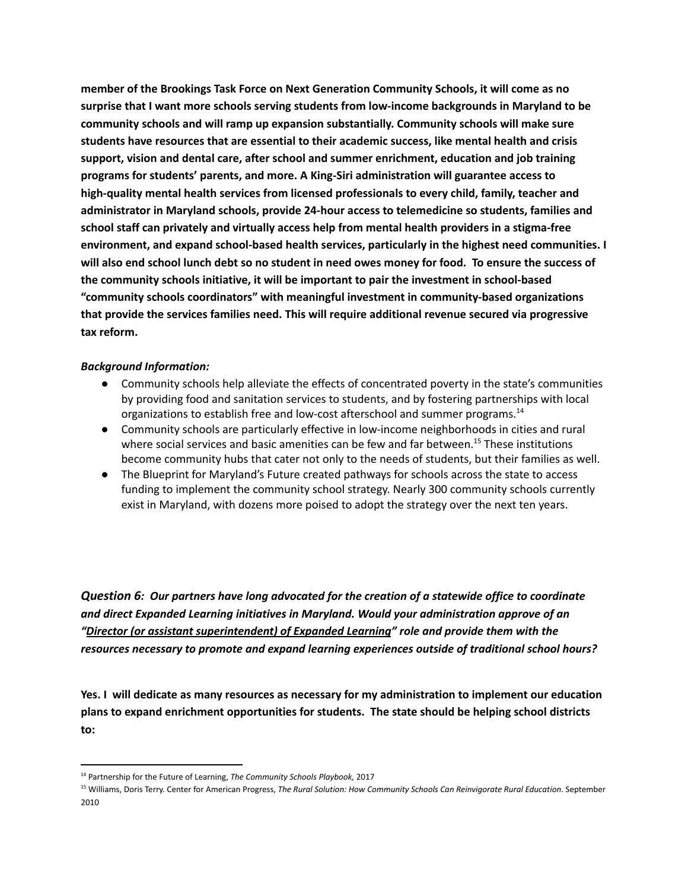**member of the Brookings Task Force on Next Generation Community Schools, it will come as no surprise that I want more schools serving students from low-income backgrounds in Maryland to be community schools and will ramp up expansion substantially. Community schools will make sure students have resources that are essential to their academic success, like mental health and crisis support, vision and dental care, after school and summer enrichment, education and job training programs for students' parents, and more. A King-Siri administration will guarantee access to high-quality mental health services from licensed professionals to every child, family, teacher and administrator in Maryland schools, provide 24-hour access to telemedicine so students, families and school staff can privately and virtually access help from mental health providers in a stigma-free environment, and expand school-based health services, particularly in the highest need communities. I** will also end school lunch debt so no student in need owes money for food. To ensure the success of **the community schools initiative, it will be important to pair the investment in school-based "community schools coordinators" with meaningful investment in community-based organizations that provide the services families need. This will require additional revenue secured via progressive tax reform.**

#### *Background Information:*

- Community schools help alleviate the effects of concentrated poverty in the state's communities by providing food and sanitation services to students, and by fostering partnerships with local organizations to establish free and low-cost afterschool and summer programs.<sup>14</sup>
- Community schools are particularly effective in low-income neighborhoods in cities and rural where social services and basic amenities can be few and far between.<sup>15</sup> These institutions become community hubs that cater not only to the needs of students, but their families as well.
- The Blueprint for Maryland's Future created pathways for schools across the state to access funding to implement the community school strategy. Nearly 300 community schools currently exist in Maryland, with dozens more poised to adopt the strategy over the next ten years.

*Question 6: Our partners have long advocated for the creation of a statewide office to coordinate and direct Expanded Learning initiatives in Maryland. Would your administration approve of an "Director (or assistant superintendent) of Expanded Learning" role and provide them with the resources necessary to promote and expand learning experiences outside of traditional school hours?*

**Yes. I will dedicate as many resources as necessary for my administration to implement our education plans to expand enrichment opportunities for students. The state should be helping school districts to:**

<sup>14</sup> Partnership for the Future of Learning, *The Community Schools Playbook,* 2017

<sup>15</sup> Williams, Doris Terry. Center for American Progress, *The Rural Solution: How Community Schools Can Reinvigorate Rural Education*. September 2010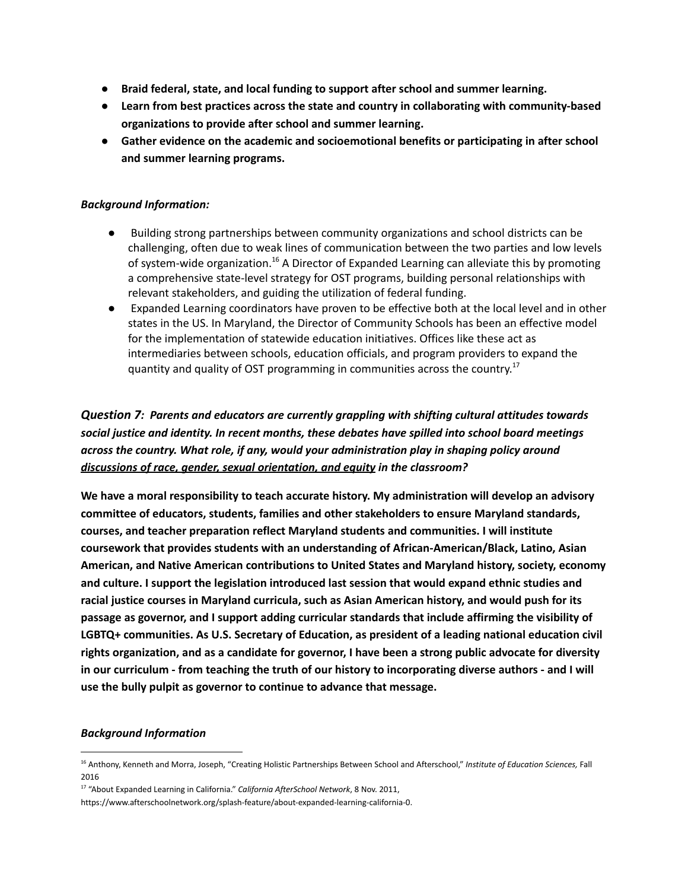- **● Braid federal, state, and local funding to support after school and summer learning.**
- **● Learn from best practices across the state and country in collaborating with community-based organizations to provide after school and summer learning.**
- **● Gather evidence on the academic and socioemotional benefits or participating in after school and summer learning programs.**

#### *Background Information:*

- *●* Building strong partnerships between community organizations and school districts can be challenging, often due to weak lines of communication between the two parties and low levels of system-wide organization.<sup>16</sup> A Director of Expanded Learning can alleviate this by promoting a comprehensive state-level strategy for OST programs, building personal relationships with relevant stakeholders, and guiding the utilization of federal funding.
- *●* Expanded Learning coordinators have proven to be effective both at the local level and in other states in the US. In Maryland, the Director of Community Schools has been an effective model for the implementation of statewide education initiatives. Offices like these act as intermediaries between schools, education officials, and program providers to expand the quantity and quality of OST programming in communities across the country.<sup>17</sup>

# *Question 7: Parents and educators are currently grappling with shifting cultural attitudes towards social justice and identity. In recent months, these debates have spilled into school board meetings across the country. What role, if any, would your administration play in shaping policy around discussions of race, gender, sexual orientation, and equity in the classroom?*

**We have a moral responsibility to teach accurate history. My administration will develop an advisory committee of educators, students, families and other stakeholders to ensure Maryland standards, courses, and teacher preparation reflect Maryland students and communities. I will institute coursework that provides students with an understanding of African-American/Black, Latino, Asian American, and Native American contributions to United States and Maryland history, society, economy and culture. I support the legislation introduced last session that would expand ethnic studies and racial justice courses in Maryland curricula, such as Asian American history, and would push for its passage as governor, and I support adding curricular standards that include affirming the visibility of LGBTQ+ communities. As U.S. Secretary of Education, as president of a leading national education civil rights organization, and as a candidate for governor, I have been a strong public advocate for diversity** in our curriculum - from teaching the truth of our history to incorporating diverse authors - and I will **use the bully pulpit as governor to continue to advance that message.**

#### *Background Information*

<sup>16</sup> Anthony, Kenneth and Morra, Joseph, "Creating Holistic Partnerships Between School and Afterschool," *Institute of Education Sciences,* Fall 2016

<sup>17</sup> "About Expanded Learning in California." *California AfterSchool Network*, 8 Nov. 2011,

https://www.afterschoolnetwork.org/splash-feature/about-expanded-learning-california-0.